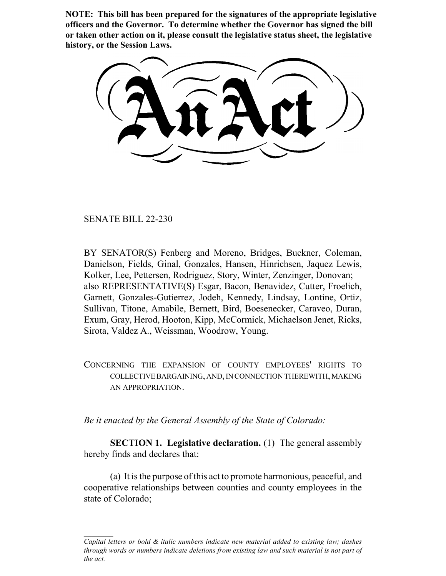**NOTE: This bill has been prepared for the signatures of the appropriate legislative officers and the Governor. To determine whether the Governor has signed the bill or taken other action on it, please consult the legislative status sheet, the legislative history, or the Session Laws.**

SENATE BILL 22-230

BY SENATOR(S) Fenberg and Moreno, Bridges, Buckner, Coleman, Danielson, Fields, Ginal, Gonzales, Hansen, Hinrichsen, Jaquez Lewis, Kolker, Lee, Pettersen, Rodriguez, Story, Winter, Zenzinger, Donovan; also REPRESENTATIVE(S) Esgar, Bacon, Benavidez, Cutter, Froelich, Garnett, Gonzales-Gutierrez, Jodeh, Kennedy, Lindsay, Lontine, Ortiz, Sullivan, Titone, Amabile, Bernett, Bird, Boesenecker, Caraveo, Duran, Exum, Gray, Herod, Hooton, Kipp, McCormick, Michaelson Jenet, Ricks, Sirota, Valdez A., Weissman, Woodrow, Young.

CONCERNING THE EXPANSION OF COUNTY EMPLOYEES' RIGHTS TO COLLECTIVE BARGAINING, AND, IN CONNECTION THEREWITH, MAKING AN APPROPRIATION.

*Be it enacted by the General Assembly of the State of Colorado:*

**SECTION 1. Legislative declaration.** (1) The general assembly hereby finds and declares that:

(a) It is the purpose of this act to promote harmonious, peaceful, and cooperative relationships between counties and county employees in the state of Colorado;

*Capital letters or bold & italic numbers indicate new material added to existing law; dashes through words or numbers indicate deletions from existing law and such material is not part of the act.*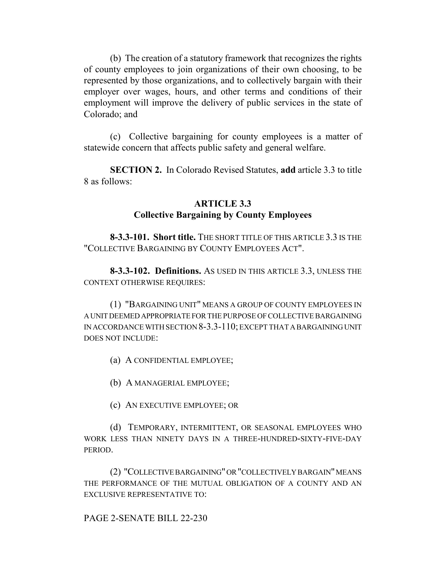(b) The creation of a statutory framework that recognizes the rights of county employees to join organizations of their own choosing, to be represented by those organizations, and to collectively bargain with their employer over wages, hours, and other terms and conditions of their employment will improve the delivery of public services in the state of Colorado; and

(c) Collective bargaining for county employees is a matter of statewide concern that affects public safety and general welfare.

**SECTION 2.** In Colorado Revised Statutes, **add** article 3.3 to title 8 as follows:

# **ARTICLE 3.3 Collective Bargaining by County Employees**

**8-3.3-101. Short title.** THE SHORT TITLE OF THIS ARTICLE 3.3 IS THE "COLLECTIVE BARGAINING BY COUNTY EMPLOYEES ACT".

**8-3.3-102. Definitions.** AS USED IN THIS ARTICLE 3.3, UNLESS THE CONTEXT OTHERWISE REQUIRES:

(1) "BARGAINING UNIT" MEANS A GROUP OF COUNTY EMPLOYEES IN A UNIT DEEMED APPROPRIATE FOR THE PURPOSE OF COLLECTIVE BARGAINING IN ACCORDANCE WITH SECTION 8-3.3-110; EXCEPT THAT A BARGAINING UNIT DOES NOT INCLUDE:

(a) A CONFIDENTIAL EMPLOYEE;

(b) A MANAGERIAL EMPLOYEE;

(c) AN EXECUTIVE EMPLOYEE; OR

(d) TEMPORARY, INTERMITTENT, OR SEASONAL EMPLOYEES WHO WORK LESS THAN NINETY DAYS IN A THREE-HUNDRED-SIXTY-FIVE-DAY **PERIOD.** 

(2) "COLLECTIVE BARGAINING" OR "COLLECTIVELY BARGAIN" MEANS THE PERFORMANCE OF THE MUTUAL OBLIGATION OF A COUNTY AND AN EXCLUSIVE REPRESENTATIVE TO:

PAGE 2-SENATE BILL 22-230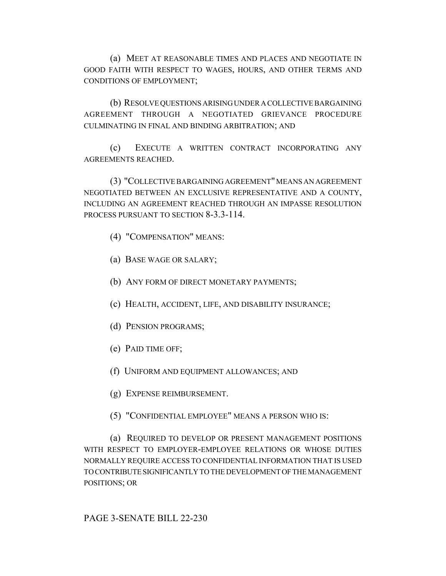(a) MEET AT REASONABLE TIMES AND PLACES AND NEGOTIATE IN GOOD FAITH WITH RESPECT TO WAGES, HOURS, AND OTHER TERMS AND CONDITIONS OF EMPLOYMENT;

(b) RESOLVE QUESTIONS ARISING UNDER A COLLECTIVE BARGAINING AGREEMENT THROUGH A NEGOTIATED GRIEVANCE PROCEDURE CULMINATING IN FINAL AND BINDING ARBITRATION; AND

(c) EXECUTE A WRITTEN CONTRACT INCORPORATING ANY AGREEMENTS REACHED.

(3) "COLLECTIVE BARGAINING AGREEMENT" MEANS AN AGREEMENT NEGOTIATED BETWEEN AN EXCLUSIVE REPRESENTATIVE AND A COUNTY, INCLUDING AN AGREEMENT REACHED THROUGH AN IMPASSE RESOLUTION PROCESS PURSUANT TO SECTION 8-3.3-114.

- (4) "COMPENSATION" MEANS:
- (a) BASE WAGE OR SALARY;
- (b) ANY FORM OF DIRECT MONETARY PAYMENTS;
- (c) HEALTH, ACCIDENT, LIFE, AND DISABILITY INSURANCE;
- (d) PENSION PROGRAMS;
- (e) PAID TIME OFF;
- (f) UNIFORM AND EQUIPMENT ALLOWANCES; AND
- (g) EXPENSE REIMBURSEMENT.
- (5) "CONFIDENTIAL EMPLOYEE" MEANS A PERSON WHO IS:

(a) REQUIRED TO DEVELOP OR PRESENT MANAGEMENT POSITIONS WITH RESPECT TO EMPLOYER-EMPLOYEE RELATIONS OR WHOSE DUTIES NORMALLY REQUIRE ACCESS TO CONFIDENTIAL INFORMATION THAT IS USED TO CONTRIBUTE SIGNIFICANTLY TO THE DEVELOPMENT OF THE MANAGEMENT POSITIONS; OR

PAGE 3-SENATE BILL 22-230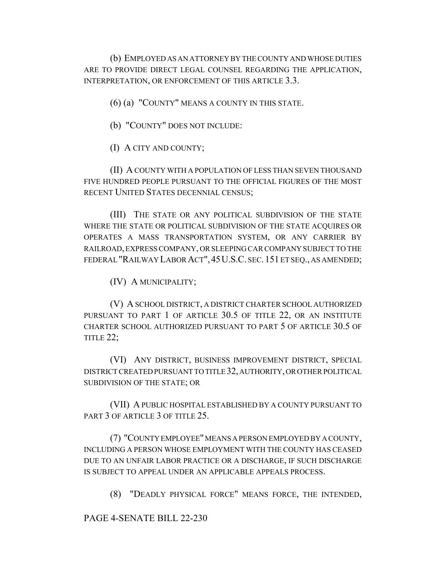(b) EMPLOYED AS AN ATTORNEY BY THE COUNTY AND WHOSE DUTIES ARE TO PROVIDE DIRECT LEGAL COUNSEL REGARDING THE APPLICATION, INTERPRETATION, OR ENFORCEMENT OF THIS ARTICLE 3.3.

(6) (a) "COUNTY" MEANS A COUNTY IN THIS STATE.

- (b) "COUNTY" DOES NOT INCLUDE:
- (I) A CITY AND COUNTY;

(II) A COUNTY WITH A POPULATION OF LESS THAN SEVEN THOUSAND FIVE HUNDRED PEOPLE PURSUANT TO THE OFFICIAL FIGURES OF THE MOST RECENT UNITED STATES DECENNIAL CENSUS;

(III) THE STATE OR ANY POLITICAL SUBDIVISION OF THE STATE WHERE THE STATE OR POLITICAL SUBDIVISION OF THE STATE ACQUIRES OR OPERATES A MASS TRANSPORTATION SYSTEM, OR ANY CARRIER BY RAILROAD, EXPRESS COMPANY, OR SLEEPING CAR COMPANY SUBJECT TO THE FEDERAL "RAILWAY LABOR ACT",45U.S.C. SEC.151 ET SEQ., AS AMENDED;

(IV) A MUNICIPALITY;

(V) A SCHOOL DISTRICT, A DISTRICT CHARTER SCHOOL AUTHORIZED PURSUANT TO PART 1 OF ARTICLE 30.5 OF TITLE 22, OR AN INSTITUTE CHARTER SCHOOL AUTHORIZED PURSUANT TO PART 5 OF ARTICLE 30.5 OF TITLE 22;

(VI) ANY DISTRICT, BUSINESS IMPROVEMENT DISTRICT, SPECIAL DISTRICT CREATED PURSUANT TO TITLE 32, AUTHORITY, OR OTHER POLITICAL SUBDIVISION OF THE STATE; OR

(VII) A PUBLIC HOSPITAL ESTABLISHED BY A COUNTY PURSUANT TO PART 3 OF ARTICLE 3 OF TITLE 25.

(7) "COUNTY EMPLOYEE" MEANS A PERSON EMPLOYED BY A COUNTY, INCLUDING A PERSON WHOSE EMPLOYMENT WITH THE COUNTY HAS CEASED DUE TO AN UNFAIR LABOR PRACTICE OR A DISCHARGE, IF SUCH DISCHARGE IS SUBJECT TO APPEAL UNDER AN APPLICABLE APPEALS PROCESS.

(8) "DEADLY PHYSICAL FORCE" MEANS FORCE, THE INTENDED,

PAGE 4-SENATE BILL 22-230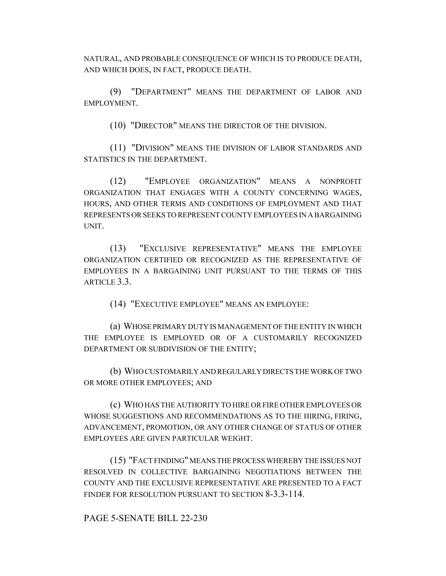NATURAL, AND PROBABLE CONSEQUENCE OF WHICH IS TO PRODUCE DEATH, AND WHICH DOES, IN FACT, PRODUCE DEATH.

(9) "DEPARTMENT" MEANS THE DEPARTMENT OF LABOR AND EMPLOYMENT.

(10) "DIRECTOR" MEANS THE DIRECTOR OF THE DIVISION.

(11) "DIVISION" MEANS THE DIVISION OF LABOR STANDARDS AND STATISTICS IN THE DEPARTMENT.

(12) "EMPLOYEE ORGANIZATION" MEANS A NONPROFIT ORGANIZATION THAT ENGAGES WITH A COUNTY CONCERNING WAGES, HOURS, AND OTHER TERMS AND CONDITIONS OF EMPLOYMENT AND THAT REPRESENTS OR SEEKS TO REPRESENT COUNTY EMPLOYEES IN A BARGAINING UNIT.

(13) "EXCLUSIVE REPRESENTATIVE" MEANS THE EMPLOYEE ORGANIZATION CERTIFIED OR RECOGNIZED AS THE REPRESENTATIVE OF EMPLOYEES IN A BARGAINING UNIT PURSUANT TO THE TERMS OF THIS ARTICLE 3.3.

(14) "EXECUTIVE EMPLOYEE" MEANS AN EMPLOYEE:

(a) WHOSE PRIMARY DUTY IS MANAGEMENT OF THE ENTITY IN WHICH THE EMPLOYEE IS EMPLOYED OR OF A CUSTOMARILY RECOGNIZED DEPARTMENT OR SUBDIVISION OF THE ENTITY;

(b) WHO CUSTOMARILY AND REGULARLY DIRECTS THE WORK OF TWO OR MORE OTHER EMPLOYEES; AND

(c) WHO HAS THE AUTHORITY TO HIRE OR FIRE OTHER EMPLOYEES OR WHOSE SUGGESTIONS AND RECOMMENDATIONS AS TO THE HIRING, FIRING, ADVANCEMENT, PROMOTION, OR ANY OTHER CHANGE OF STATUS OF OTHER EMPLOYEES ARE GIVEN PARTICULAR WEIGHT.

(15) "FACT FINDING" MEANS THE PROCESS WHEREBY THE ISSUES NOT RESOLVED IN COLLECTIVE BARGAINING NEGOTIATIONS BETWEEN THE COUNTY AND THE EXCLUSIVE REPRESENTATIVE ARE PRESENTED TO A FACT FINDER FOR RESOLUTION PURSUANT TO SECTION 8-3.3-114.

PAGE 5-SENATE BILL 22-230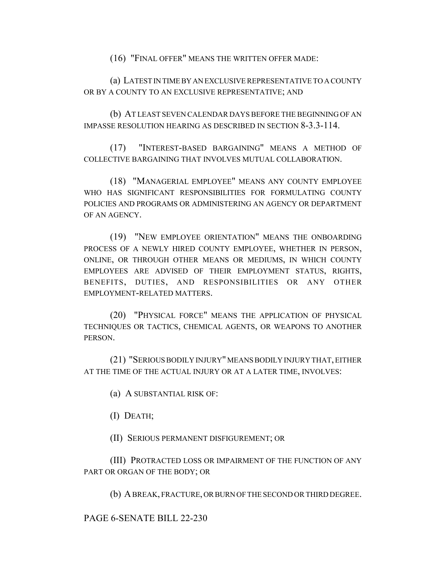(16) "FINAL OFFER" MEANS THE WRITTEN OFFER MADE:

(a) LATEST IN TIME BY AN EXCLUSIVE REPRESENTATIVE TO A COUNTY OR BY A COUNTY TO AN EXCLUSIVE REPRESENTATIVE; AND

(b) AT LEAST SEVEN CALENDAR DAYS BEFORE THE BEGINNING OF AN IMPASSE RESOLUTION HEARING AS DESCRIBED IN SECTION 8-3.3-114.

(17) "INTEREST-BASED BARGAINING" MEANS A METHOD OF COLLECTIVE BARGAINING THAT INVOLVES MUTUAL COLLABORATION.

(18) "MANAGERIAL EMPLOYEE" MEANS ANY COUNTY EMPLOYEE WHO HAS SIGNIFICANT RESPONSIBILITIES FOR FORMULATING COUNTY POLICIES AND PROGRAMS OR ADMINISTERING AN AGENCY OR DEPARTMENT OF AN AGENCY.

(19) "NEW EMPLOYEE ORIENTATION" MEANS THE ONBOARDING PROCESS OF A NEWLY HIRED COUNTY EMPLOYEE, WHETHER IN PERSON, ONLINE, OR THROUGH OTHER MEANS OR MEDIUMS, IN WHICH COUNTY EMPLOYEES ARE ADVISED OF THEIR EMPLOYMENT STATUS, RIGHTS, BENEFITS, DUTIES, AND RESPONSIBILITIES OR ANY OTHER EMPLOYMENT-RELATED MATTERS.

(20) "PHYSICAL FORCE" MEANS THE APPLICATION OF PHYSICAL TECHNIQUES OR TACTICS, CHEMICAL AGENTS, OR WEAPONS TO ANOTHER PERSON.

(21) "SERIOUS BODILY INJURY" MEANS BODILY INJURY THAT, EITHER AT THE TIME OF THE ACTUAL INJURY OR AT A LATER TIME, INVOLVES:

(a) A SUBSTANTIAL RISK OF:

(I) DEATH;

(II) SERIOUS PERMANENT DISFIGUREMENT; OR

(III) PROTRACTED LOSS OR IMPAIRMENT OF THE FUNCTION OF ANY PART OR ORGAN OF THE BODY; OR

(b) A BREAK, FRACTURE, OR BURN OF THE SECOND OR THIRD DEGREE.

PAGE 6-SENATE BILL 22-230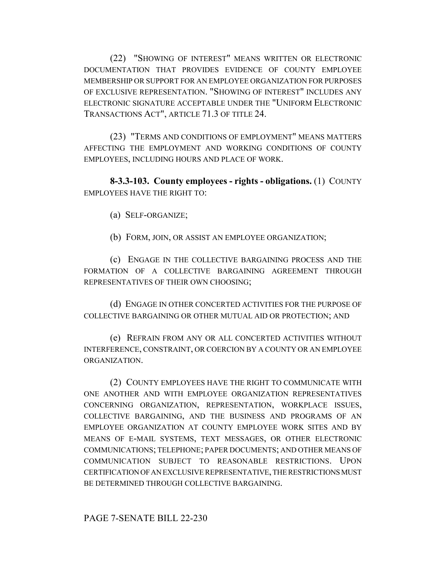(22) "SHOWING OF INTEREST" MEANS WRITTEN OR ELECTRONIC DOCUMENTATION THAT PROVIDES EVIDENCE OF COUNTY EMPLOYEE MEMBERSHIP OR SUPPORT FOR AN EMPLOYEE ORGANIZATION FOR PURPOSES OF EXCLUSIVE REPRESENTATION. "SHOWING OF INTEREST" INCLUDES ANY ELECTRONIC SIGNATURE ACCEPTABLE UNDER THE "UNIFORM ELECTRONIC TRANSACTIONS ACT", ARTICLE 71.3 OF TITLE 24.

(23) "TERMS AND CONDITIONS OF EMPLOYMENT" MEANS MATTERS AFFECTING THE EMPLOYMENT AND WORKING CONDITIONS OF COUNTY EMPLOYEES, INCLUDING HOURS AND PLACE OF WORK.

**8-3.3-103. County employees - rights - obligations.** (1) COUNTY EMPLOYEES HAVE THE RIGHT TO:

(a) SELF-ORGANIZE;

(b) FORM, JOIN, OR ASSIST AN EMPLOYEE ORGANIZATION;

(c) ENGAGE IN THE COLLECTIVE BARGAINING PROCESS AND THE FORMATION OF A COLLECTIVE BARGAINING AGREEMENT THROUGH REPRESENTATIVES OF THEIR OWN CHOOSING;

(d) ENGAGE IN OTHER CONCERTED ACTIVITIES FOR THE PURPOSE OF COLLECTIVE BARGAINING OR OTHER MUTUAL AID OR PROTECTION; AND

(e) REFRAIN FROM ANY OR ALL CONCERTED ACTIVITIES WITHOUT INTERFERENCE, CONSTRAINT, OR COERCION BY A COUNTY OR AN EMPLOYEE ORGANIZATION.

(2) COUNTY EMPLOYEES HAVE THE RIGHT TO COMMUNICATE WITH ONE ANOTHER AND WITH EMPLOYEE ORGANIZATION REPRESENTATIVES CONCERNING ORGANIZATION, REPRESENTATION, WORKPLACE ISSUES, COLLECTIVE BARGAINING, AND THE BUSINESS AND PROGRAMS OF AN EMPLOYEE ORGANIZATION AT COUNTY EMPLOYEE WORK SITES AND BY MEANS OF E-MAIL SYSTEMS, TEXT MESSAGES, OR OTHER ELECTRONIC COMMUNICATIONS; TELEPHONE; PAPER DOCUMENTS; AND OTHER MEANS OF COMMUNICATION SUBJECT TO REASONABLE RESTRICTIONS. UPON CERTIFICATION OF AN EXCLUSIVE REPRESENTATIVE, THE RESTRICTIONS MUST BE DETERMINED THROUGH COLLECTIVE BARGAINING.

# PAGE 7-SENATE BILL 22-230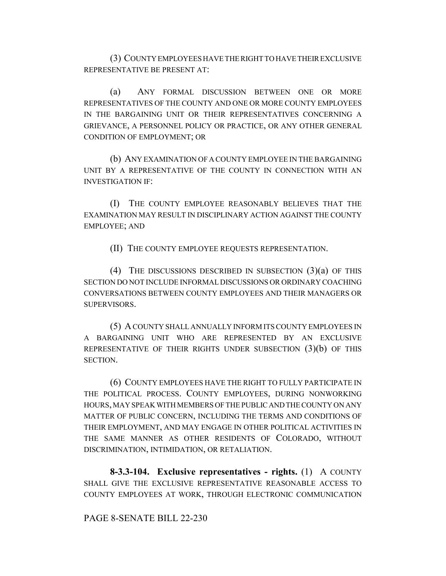(3) COUNTY EMPLOYEES HAVE THE RIGHT TO HAVE THEIR EXCLUSIVE REPRESENTATIVE BE PRESENT AT:

(a) ANY FORMAL DISCUSSION BETWEEN ONE OR MORE REPRESENTATIVES OF THE COUNTY AND ONE OR MORE COUNTY EMPLOYEES IN THE BARGAINING UNIT OR THEIR REPRESENTATIVES CONCERNING A GRIEVANCE, A PERSONNEL POLICY OR PRACTICE, OR ANY OTHER GENERAL CONDITION OF EMPLOYMENT; OR

(b) ANY EXAMINATION OF A COUNTY EMPLOYEE IN THE BARGAINING UNIT BY A REPRESENTATIVE OF THE COUNTY IN CONNECTION WITH AN INVESTIGATION IF:

(I) THE COUNTY EMPLOYEE REASONABLY BELIEVES THAT THE EXAMINATION MAY RESULT IN DISCIPLINARY ACTION AGAINST THE COUNTY EMPLOYEE; AND

(II) THE COUNTY EMPLOYEE REQUESTS REPRESENTATION.

(4) THE DISCUSSIONS DESCRIBED IN SUBSECTION (3)(a) OF THIS SECTION DO NOT INCLUDE INFORMAL DISCUSSIONS OR ORDINARY COACHING CONVERSATIONS BETWEEN COUNTY EMPLOYEES AND THEIR MANAGERS OR SUPERVISORS.

(5) A COUNTY SHALL ANNUALLY INFORM ITS COUNTY EMPLOYEES IN A BARGAINING UNIT WHO ARE REPRESENTED BY AN EXCLUSIVE REPRESENTATIVE OF THEIR RIGHTS UNDER SUBSECTION (3)(b) OF THIS SECTION.

(6) COUNTY EMPLOYEES HAVE THE RIGHT TO FULLY PARTICIPATE IN THE POLITICAL PROCESS. COUNTY EMPLOYEES, DURING NONWORKING HOURS, MAY SPEAK WITH MEMBERS OF THE PUBLIC AND THE COUNTY ON ANY MATTER OF PUBLIC CONCERN, INCLUDING THE TERMS AND CONDITIONS OF THEIR EMPLOYMENT, AND MAY ENGAGE IN OTHER POLITICAL ACTIVITIES IN THE SAME MANNER AS OTHER RESIDENTS OF COLORADO, WITHOUT DISCRIMINATION, INTIMIDATION, OR RETALIATION.

**8-3.3-104. Exclusive representatives - rights.** (1) A COUNTY SHALL GIVE THE EXCLUSIVE REPRESENTATIVE REASONABLE ACCESS TO COUNTY EMPLOYEES AT WORK, THROUGH ELECTRONIC COMMUNICATION

PAGE 8-SENATE BILL 22-230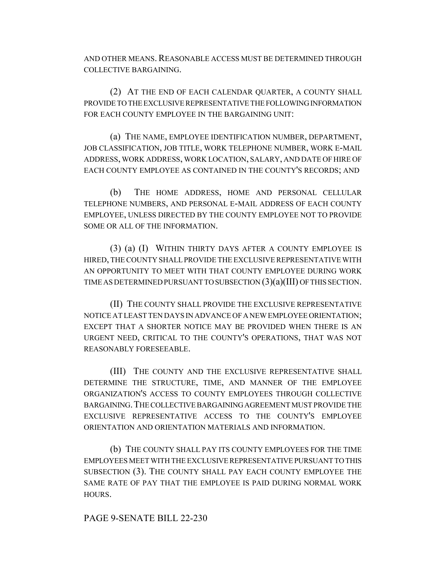AND OTHER MEANS. REASONABLE ACCESS MUST BE DETERMINED THROUGH COLLECTIVE BARGAINING.

(2) AT THE END OF EACH CALENDAR QUARTER, A COUNTY SHALL PROVIDE TO THE EXCLUSIVE REPRESENTATIVE THE FOLLOWING INFORMATION FOR EACH COUNTY EMPLOYEE IN THE BARGAINING UNIT:

(a) THE NAME, EMPLOYEE IDENTIFICATION NUMBER, DEPARTMENT, JOB CLASSIFICATION, JOB TITLE, WORK TELEPHONE NUMBER, WORK E-MAIL ADDRESS, WORK ADDRESS, WORK LOCATION, SALARY, AND DATE OF HIRE OF EACH COUNTY EMPLOYEE AS CONTAINED IN THE COUNTY'S RECORDS; AND

(b) THE HOME ADDRESS, HOME AND PERSONAL CELLULAR TELEPHONE NUMBERS, AND PERSONAL E-MAIL ADDRESS OF EACH COUNTY EMPLOYEE, UNLESS DIRECTED BY THE COUNTY EMPLOYEE NOT TO PROVIDE SOME OR ALL OF THE INFORMATION.

(3) (a) (I) WITHIN THIRTY DAYS AFTER A COUNTY EMPLOYEE IS HIRED, THE COUNTY SHALL PROVIDE THE EXCLUSIVE REPRESENTATIVE WITH AN OPPORTUNITY TO MEET WITH THAT COUNTY EMPLOYEE DURING WORK TIME AS DETERMINED PURSUANT TO SUBSECTION  $(3)(a)(III)$  OF THIS SECTION.

(II) THE COUNTY SHALL PROVIDE THE EXCLUSIVE REPRESENTATIVE NOTICE AT LEAST TEN DAYS IN ADVANCE OF A NEW EMPLOYEE ORIENTATION; EXCEPT THAT A SHORTER NOTICE MAY BE PROVIDED WHEN THERE IS AN URGENT NEED, CRITICAL TO THE COUNTY'S OPERATIONS, THAT WAS NOT REASONABLY FORESEEABLE.

(III) THE COUNTY AND THE EXCLUSIVE REPRESENTATIVE SHALL DETERMINE THE STRUCTURE, TIME, AND MANNER OF THE EMPLOYEE ORGANIZATION'S ACCESS TO COUNTY EMPLOYEES THROUGH COLLECTIVE BARGAINING.THE COLLECTIVE BARGAINING AGREEMENT MUST PROVIDE THE EXCLUSIVE REPRESENTATIVE ACCESS TO THE COUNTY'S EMPLOYEE ORIENTATION AND ORIENTATION MATERIALS AND INFORMATION.

(b) THE COUNTY SHALL PAY ITS COUNTY EMPLOYEES FOR THE TIME EMPLOYEES MEET WITH THE EXCLUSIVE REPRESENTATIVE PURSUANT TO THIS SUBSECTION (3). THE COUNTY SHALL PAY EACH COUNTY EMPLOYEE THE SAME RATE OF PAY THAT THE EMPLOYEE IS PAID DURING NORMAL WORK HOURS.

# PAGE 9-SENATE BILL 22-230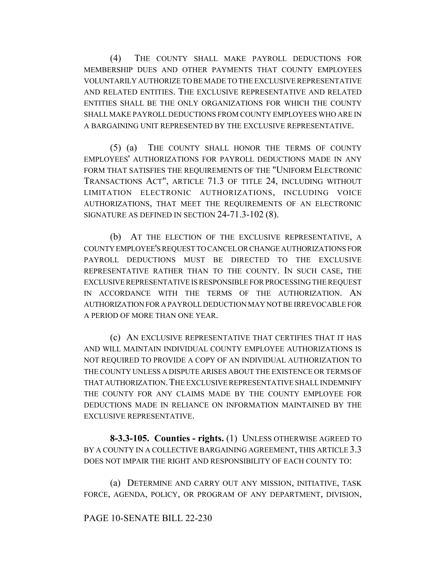(4) THE COUNTY SHALL MAKE PAYROLL DEDUCTIONS FOR MEMBERSHIP DUES AND OTHER PAYMENTS THAT COUNTY EMPLOYEES VOLUNTARILY AUTHORIZE TO BE MADE TO THE EXCLUSIVE REPRESENTATIVE AND RELATED ENTITIES. THE EXCLUSIVE REPRESENTATIVE AND RELATED ENTITIES SHALL BE THE ONLY ORGANIZATIONS FOR WHICH THE COUNTY SHALL MAKE PAYROLL DEDUCTIONS FROM COUNTY EMPLOYEES WHO ARE IN A BARGAINING UNIT REPRESENTED BY THE EXCLUSIVE REPRESENTATIVE.

(5) (a) THE COUNTY SHALL HONOR THE TERMS OF COUNTY EMPLOYEES' AUTHORIZATIONS FOR PAYROLL DEDUCTIONS MADE IN ANY FORM THAT SATISFIES THE REQUIREMENTS OF THE "UNIFORM ELECTRONIC TRANSACTIONS ACT", ARTICLE 71.3 OF TITLE 24, INCLUDING WITHOUT LIMITATION ELECTRONIC AUTHORIZATIONS, INCLUDING VOICE AUTHORIZATIONS, THAT MEET THE REQUIREMENTS OF AN ELECTRONIC SIGNATURE AS DEFINED IN SECTION 24-71.3-102 (8).

(b) AT THE ELECTION OF THE EXCLUSIVE REPRESENTATIVE, A COUNTY EMPLOYEE'S REQUEST TO CANCEL OR CHANGE AUTHORIZATIONS FOR PAYROLL DEDUCTIONS MUST BE DIRECTED TO THE EXCLUSIVE REPRESENTATIVE RATHER THAN TO THE COUNTY. IN SUCH CASE, THE EXCLUSIVE REPRESENTATIVE IS RESPONSIBLE FOR PROCESSING THE REQUEST IN ACCORDANCE WITH THE TERMS OF THE AUTHORIZATION. AN AUTHORIZATION FOR A PAYROLL DEDUCTION MAY NOT BE IRREVOCABLE FOR A PERIOD OF MORE THAN ONE YEAR.

(c) AN EXCLUSIVE REPRESENTATIVE THAT CERTIFIES THAT IT HAS AND WILL MAINTAIN INDIVIDUAL COUNTY EMPLOYEE AUTHORIZATIONS IS NOT REQUIRED TO PROVIDE A COPY OF AN INDIVIDUAL AUTHORIZATION TO THE COUNTY UNLESS A DISPUTE ARISES ABOUT THE EXISTENCE OR TERMS OF THAT AUTHORIZATION.THE EXCLUSIVE REPRESENTATIVE SHALL INDEMNIFY THE COUNTY FOR ANY CLAIMS MADE BY THE COUNTY EMPLOYEE FOR DEDUCTIONS MADE IN RELIANCE ON INFORMATION MAINTAINED BY THE EXCLUSIVE REPRESENTATIVE.

**8-3.3-105. Counties - rights.** (1) UNLESS OTHERWISE AGREED TO BY A COUNTY IN A COLLECTIVE BARGAINING AGREEMENT, THIS ARTICLE 3.3 DOES NOT IMPAIR THE RIGHT AND RESPONSIBILITY OF EACH COUNTY TO:

(a) DETERMINE AND CARRY OUT ANY MISSION, INITIATIVE, TASK FORCE, AGENDA, POLICY, OR PROGRAM OF ANY DEPARTMENT, DIVISION,

### PAGE 10-SENATE BILL 22-230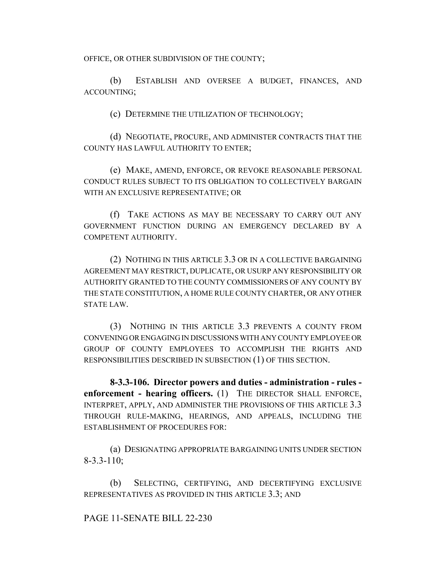OFFICE, OR OTHER SUBDIVISION OF THE COUNTY;

(b) ESTABLISH AND OVERSEE A BUDGET, FINANCES, AND ACCOUNTING;

(c) DETERMINE THE UTILIZATION OF TECHNOLOGY;

(d) NEGOTIATE, PROCURE, AND ADMINISTER CONTRACTS THAT THE COUNTY HAS LAWFUL AUTHORITY TO ENTER;

(e) MAKE, AMEND, ENFORCE, OR REVOKE REASONABLE PERSONAL CONDUCT RULES SUBJECT TO ITS OBLIGATION TO COLLECTIVELY BARGAIN WITH AN EXCLUSIVE REPRESENTATIVE; OR

(f) TAKE ACTIONS AS MAY BE NECESSARY TO CARRY OUT ANY GOVERNMENT FUNCTION DURING AN EMERGENCY DECLARED BY A COMPETENT AUTHORITY.

(2) NOTHING IN THIS ARTICLE 3.3 OR IN A COLLECTIVE BARGAINING AGREEMENT MAY RESTRICT, DUPLICATE, OR USURP ANY RESPONSIBILITY OR AUTHORITY GRANTED TO THE COUNTY COMMISSIONERS OF ANY COUNTY BY THE STATE CONSTITUTION, A HOME RULE COUNTY CHARTER, OR ANY OTHER STATE LAW.

(3) NOTHING IN THIS ARTICLE 3.3 PREVENTS A COUNTY FROM CONVENING OR ENGAGING IN DISCUSSIONS WITH ANY COUNTY EMPLOYEE OR GROUP OF COUNTY EMPLOYEES TO ACCOMPLISH THE RIGHTS AND RESPONSIBILITIES DESCRIBED IN SUBSECTION (1) OF THIS SECTION.

**8-3.3-106. Director powers and duties - administration - rules enforcement - hearing officers.** (1) THE DIRECTOR SHALL ENFORCE, INTERPRET, APPLY, AND ADMINISTER THE PROVISIONS OF THIS ARTICLE 3.3 THROUGH RULE-MAKING, HEARINGS, AND APPEALS, INCLUDING THE ESTABLISHMENT OF PROCEDURES FOR:

(a) DESIGNATING APPROPRIATE BARGAINING UNITS UNDER SECTION 8-3.3-110;

(b) SELECTING, CERTIFYING, AND DECERTIFYING EXCLUSIVE REPRESENTATIVES AS PROVIDED IN THIS ARTICLE 3.3; AND

PAGE 11-SENATE BILL 22-230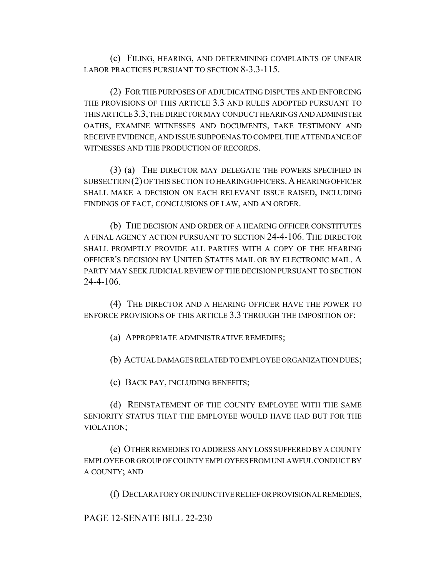(c) FILING, HEARING, AND DETERMINING COMPLAINTS OF UNFAIR LABOR PRACTICES PURSUANT TO SECTION 8-3.3-115.

(2) FOR THE PURPOSES OF ADJUDICATING DISPUTES AND ENFORCING THE PROVISIONS OF THIS ARTICLE 3.3 AND RULES ADOPTED PURSUANT TO THIS ARTICLE 3.3, THE DIRECTOR MAY CONDUCT HEARINGS AND ADMINISTER OATHS, EXAMINE WITNESSES AND DOCUMENTS, TAKE TESTIMONY AND RECEIVE EVIDENCE, AND ISSUE SUBPOENAS TO COMPEL THE ATTENDANCE OF WITNESSES AND THE PRODUCTION OF RECORDS.

(3) (a) THE DIRECTOR MAY DELEGATE THE POWERS SPECIFIED IN SUBSECTION (2) OF THIS SECTION TO HEARING OFFICERS. A HEARING OFFICER SHALL MAKE A DECISION ON EACH RELEVANT ISSUE RAISED, INCLUDING FINDINGS OF FACT, CONCLUSIONS OF LAW, AND AN ORDER.

(b) THE DECISION AND ORDER OF A HEARING OFFICER CONSTITUTES A FINAL AGENCY ACTION PURSUANT TO SECTION 24-4-106. THE DIRECTOR SHALL PROMPTLY PROVIDE ALL PARTIES WITH A COPY OF THE HEARING OFFICER'S DECISION BY UNITED STATES MAIL OR BY ELECTRONIC MAIL. A PARTY MAY SEEK JUDICIAL REVIEW OF THE DECISION PURSUANT TO SECTION 24-4-106.

(4) THE DIRECTOR AND A HEARING OFFICER HAVE THE POWER TO ENFORCE PROVISIONS OF THIS ARTICLE 3.3 THROUGH THE IMPOSITION OF:

(a) APPROPRIATE ADMINISTRATIVE REMEDIES;

(b) ACTUAL DAMAGES RELATED TO EMPLOYEE ORGANIZATION DUES;

(c) BACK PAY, INCLUDING BENEFITS;

(d) REINSTATEMENT OF THE COUNTY EMPLOYEE WITH THE SAME SENIORITY STATUS THAT THE EMPLOYEE WOULD HAVE HAD BUT FOR THE VIOLATION;

(e) OTHER REMEDIES TO ADDRESS ANY LOSS SUFFERED BY A COUNTY EMPLOYEE OR GROUP OF COUNTY EMPLOYEES FROM UNLAWFUL CONDUCT BY A COUNTY; AND

(f) DECLARATORY OR INJUNCTIVE RELIEF OR PROVISIONAL REMEDIES,

PAGE 12-SENATE BILL 22-230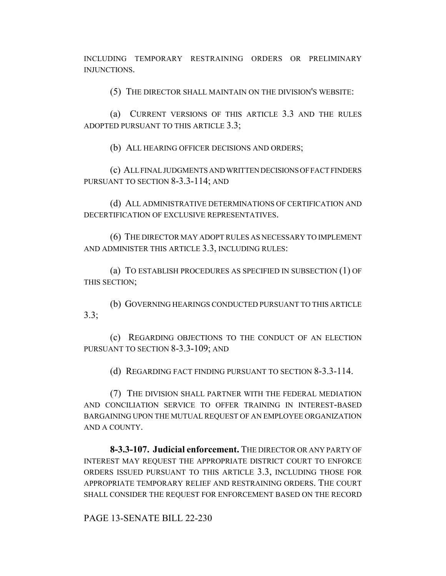INCLUDING TEMPORARY RESTRAINING ORDERS OR PRELIMINARY INJUNCTIONS.

(5) THE DIRECTOR SHALL MAINTAIN ON THE DIVISION'S WEBSITE:

(a) CURRENT VERSIONS OF THIS ARTICLE 3.3 AND THE RULES ADOPTED PURSUANT TO THIS ARTICLE 3.3;

(b) ALL HEARING OFFICER DECISIONS AND ORDERS;

(c) ALL FINAL JUDGMENTS AND WRITTEN DECISIONS OF FACT FINDERS PURSUANT TO SECTION 8-3.3-114; AND

(d) ALL ADMINISTRATIVE DETERMINATIONS OF CERTIFICATION AND DECERTIFICATION OF EXCLUSIVE REPRESENTATIVES.

(6) THE DIRECTOR MAY ADOPT RULES AS NECESSARY TO IMPLEMENT AND ADMINISTER THIS ARTICLE 3.3, INCLUDING RULES:

(a) TO ESTABLISH PROCEDURES AS SPECIFIED IN SUBSECTION (1) OF THIS SECTION;

(b) GOVERNING HEARINGS CONDUCTED PURSUANT TO THIS ARTICLE 3.3;

(c) REGARDING OBJECTIONS TO THE CONDUCT OF AN ELECTION PURSUANT TO SECTION 8-3.3-109; AND

(d) REGARDING FACT FINDING PURSUANT TO SECTION 8-3.3-114.

(7) THE DIVISION SHALL PARTNER WITH THE FEDERAL MEDIATION AND CONCILIATION SERVICE TO OFFER TRAINING IN INTEREST-BASED BARGAINING UPON THE MUTUAL REQUEST OF AN EMPLOYEE ORGANIZATION AND A COUNTY.

**8-3.3-107. Judicial enforcement.** THE DIRECTOR OR ANY PARTY OF INTEREST MAY REQUEST THE APPROPRIATE DISTRICT COURT TO ENFORCE ORDERS ISSUED PURSUANT TO THIS ARTICLE 3.3, INCLUDING THOSE FOR APPROPRIATE TEMPORARY RELIEF AND RESTRAINING ORDERS. THE COURT SHALL CONSIDER THE REQUEST FOR ENFORCEMENT BASED ON THE RECORD

PAGE 13-SENATE BILL 22-230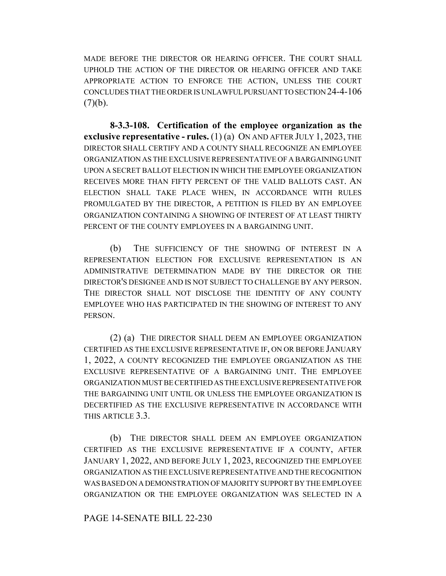MADE BEFORE THE DIRECTOR OR HEARING OFFICER. THE COURT SHALL UPHOLD THE ACTION OF THE DIRECTOR OR HEARING OFFICER AND TAKE APPROPRIATE ACTION TO ENFORCE THE ACTION, UNLESS THE COURT CONCLUDES THAT THE ORDER IS UNLAWFUL PURSUANT TO SECTION 24-4-106  $(7)(b)$ .

**8-3.3-108. Certification of the employee organization as the exclusive representative - rules.** (1) (a) ON AND AFTER JULY 1, 2023, THE DIRECTOR SHALL CERTIFY AND A COUNTY SHALL RECOGNIZE AN EMPLOYEE ORGANIZATION AS THE EXCLUSIVE REPRESENTATIVE OF A BARGAINING UNIT UPON A SECRET BALLOT ELECTION IN WHICH THE EMPLOYEE ORGANIZATION RECEIVES MORE THAN FIFTY PERCENT OF THE VALID BALLOTS CAST. AN ELECTION SHALL TAKE PLACE WHEN, IN ACCORDANCE WITH RULES PROMULGATED BY THE DIRECTOR, A PETITION IS FILED BY AN EMPLOYEE ORGANIZATION CONTAINING A SHOWING OF INTEREST OF AT LEAST THIRTY PERCENT OF THE COUNTY EMPLOYEES IN A BARGAINING UNIT.

(b) THE SUFFICIENCY OF THE SHOWING OF INTEREST IN A REPRESENTATION ELECTION FOR EXCLUSIVE REPRESENTATION IS AN ADMINISTRATIVE DETERMINATION MADE BY THE DIRECTOR OR THE DIRECTOR'S DESIGNEE AND IS NOT SUBJECT TO CHALLENGE BY ANY PERSON. THE DIRECTOR SHALL NOT DISCLOSE THE IDENTITY OF ANY COUNTY EMPLOYEE WHO HAS PARTICIPATED IN THE SHOWING OF INTEREST TO ANY PERSON.

(2) (a) THE DIRECTOR SHALL DEEM AN EMPLOYEE ORGANIZATION CERTIFIED AS THE EXCLUSIVE REPRESENTATIVE IF, ON OR BEFORE JANUARY 1, 2022, A COUNTY RECOGNIZED THE EMPLOYEE ORGANIZATION AS THE EXCLUSIVE REPRESENTATIVE OF A BARGAINING UNIT. THE EMPLOYEE ORGANIZATION MUST BE CERTIFIED AS THE EXCLUSIVE REPRESENTATIVE FOR THE BARGAINING UNIT UNTIL OR UNLESS THE EMPLOYEE ORGANIZATION IS DECERTIFIED AS THE EXCLUSIVE REPRESENTATIVE IN ACCORDANCE WITH THIS ARTICLE 3.3.

(b) THE DIRECTOR SHALL DEEM AN EMPLOYEE ORGANIZATION CERTIFIED AS THE EXCLUSIVE REPRESENTATIVE IF A COUNTY, AFTER JANUARY 1, 2022, AND BEFORE JULY 1, 2023, RECOGNIZED THE EMPLOYEE ORGANIZATION AS THE EXCLUSIVE REPRESENTATIVE AND THE RECOGNITION WAS BASED ON A DEMONSTRATION OF MAJORITY SUPPORT BY THE EMPLOYEE ORGANIZATION OR THE EMPLOYEE ORGANIZATION WAS SELECTED IN A

#### PAGE 14-SENATE BILL 22-230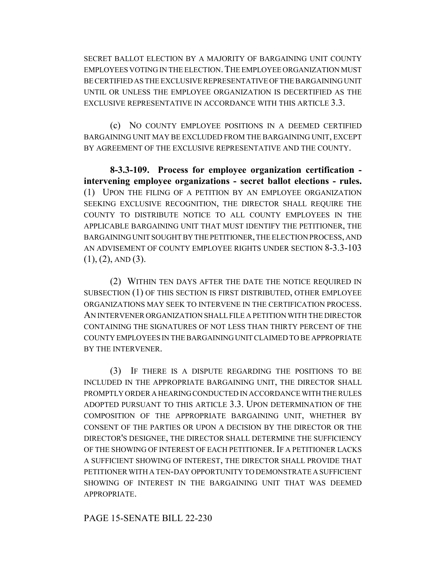SECRET BALLOT ELECTION BY A MAJORITY OF BARGAINING UNIT COUNTY EMPLOYEES VOTING IN THE ELECTION. THE EMPLOYEE ORGANIZATION MUST BE CERTIFIED AS THE EXCLUSIVE REPRESENTATIVE OF THE BARGAINING UNIT UNTIL OR UNLESS THE EMPLOYEE ORGANIZATION IS DECERTIFIED AS THE EXCLUSIVE REPRESENTATIVE IN ACCORDANCE WITH THIS ARTICLE 3.3.

(c) NO COUNTY EMPLOYEE POSITIONS IN A DEEMED CERTIFIED BARGAINING UNIT MAY BE EXCLUDED FROM THE BARGAINING UNIT, EXCEPT BY AGREEMENT OF THE EXCLUSIVE REPRESENTATIVE AND THE COUNTY.

**8-3.3-109. Process for employee organization certification intervening employee organizations - secret ballot elections - rules.** (1) UPON THE FILING OF A PETITION BY AN EMPLOYEE ORGANIZATION SEEKING EXCLUSIVE RECOGNITION, THE DIRECTOR SHALL REQUIRE THE COUNTY TO DISTRIBUTE NOTICE TO ALL COUNTY EMPLOYEES IN THE APPLICABLE BARGAINING UNIT THAT MUST IDENTIFY THE PETITIONER, THE BARGAINING UNIT SOUGHT BY THE PETITIONER, THE ELECTION PROCESS, AND AN ADVISEMENT OF COUNTY EMPLOYEE RIGHTS UNDER SECTION 8-3.3-103  $(1), (2),$  AND  $(3).$ 

(2) WITHIN TEN DAYS AFTER THE DATE THE NOTICE REQUIRED IN SUBSECTION (1) OF THIS SECTION IS FIRST DISTRIBUTED, OTHER EMPLOYEE ORGANIZATIONS MAY SEEK TO INTERVENE IN THE CERTIFICATION PROCESS. AN INTERVENER ORGANIZATION SHALL FILE A PETITION WITH THE DIRECTOR CONTAINING THE SIGNATURES OF NOT LESS THAN THIRTY PERCENT OF THE COUNTY EMPLOYEES IN THE BARGAINING UNIT CLAIMED TO BE APPROPRIATE BY THE INTERVENER.

(3) IF THERE IS A DISPUTE REGARDING THE POSITIONS TO BE INCLUDED IN THE APPROPRIATE BARGAINING UNIT, THE DIRECTOR SHALL PROMPTLY ORDER A HEARING CONDUCTED IN ACCORDANCE WITH THE RULES ADOPTED PURSUANT TO THIS ARTICLE 3.3. UPON DETERMINATION OF THE COMPOSITION OF THE APPROPRIATE BARGAINING UNIT, WHETHER BY CONSENT OF THE PARTIES OR UPON A DECISION BY THE DIRECTOR OR THE DIRECTOR'S DESIGNEE, THE DIRECTOR SHALL DETERMINE THE SUFFICIENCY OF THE SHOWING OF INTEREST OF EACH PETITIONER. IF A PETITIONER LACKS A SUFFICIENT SHOWING OF INTEREST, THE DIRECTOR SHALL PROVIDE THAT PETITIONER WITH A TEN-DAY OPPORTUNITY TO DEMONSTRATE A SUFFICIENT SHOWING OF INTEREST IN THE BARGAINING UNIT THAT WAS DEEMED APPROPRIATE.

PAGE 15-SENATE BILL 22-230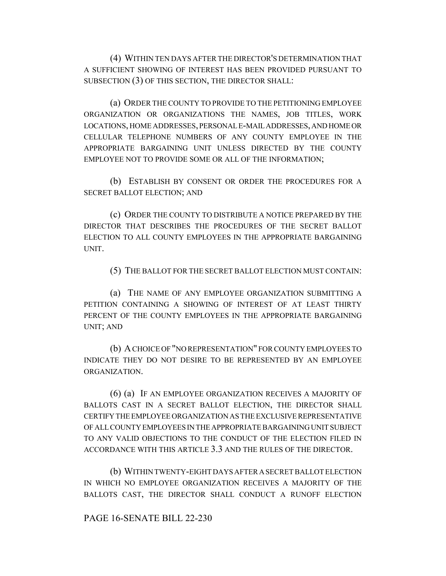(4) WITHIN TEN DAYS AFTER THE DIRECTOR'S DETERMINATION THAT A SUFFICIENT SHOWING OF INTEREST HAS BEEN PROVIDED PURSUANT TO SUBSECTION (3) OF THIS SECTION, THE DIRECTOR SHALL:

(a) ORDER THE COUNTY TO PROVIDE TO THE PETITIONING EMPLOYEE ORGANIZATION OR ORGANIZATIONS THE NAMES, JOB TITLES, WORK LOCATIONS, HOME ADDRESSES, PERSONAL E-MAIL ADDRESSES, AND HOME OR CELLULAR TELEPHONE NUMBERS OF ANY COUNTY EMPLOYEE IN THE APPROPRIATE BARGAINING UNIT UNLESS DIRECTED BY THE COUNTY EMPLOYEE NOT TO PROVIDE SOME OR ALL OF THE INFORMATION;

(b) ESTABLISH BY CONSENT OR ORDER THE PROCEDURES FOR A SECRET BALLOT ELECTION; AND

(c) ORDER THE COUNTY TO DISTRIBUTE A NOTICE PREPARED BY THE DIRECTOR THAT DESCRIBES THE PROCEDURES OF THE SECRET BALLOT ELECTION TO ALL COUNTY EMPLOYEES IN THE APPROPRIATE BARGAINING UNIT.

(5) THE BALLOT FOR THE SECRET BALLOT ELECTION MUST CONTAIN:

(a) THE NAME OF ANY EMPLOYEE ORGANIZATION SUBMITTING A PETITION CONTAINING A SHOWING OF INTEREST OF AT LEAST THIRTY PERCENT OF THE COUNTY EMPLOYEES IN THE APPROPRIATE BARGAINING UNIT; AND

(b) A CHOICE OF "NO REPRESENTATION" FOR COUNTY EMPLOYEES TO INDICATE THEY DO NOT DESIRE TO BE REPRESENTED BY AN EMPLOYEE ORGANIZATION.

(6) (a) IF AN EMPLOYEE ORGANIZATION RECEIVES A MAJORITY OF BALLOTS CAST IN A SECRET BALLOT ELECTION, THE DIRECTOR SHALL CERTIFY THE EMPLOYEE ORGANIZATION AS THE EXCLUSIVE REPRESENTATIVE OF ALL COUNTY EMPLOYEES IN THE APPROPRIATE BARGAINING UNIT SUBJECT TO ANY VALID OBJECTIONS TO THE CONDUCT OF THE ELECTION FILED IN ACCORDANCE WITH THIS ARTICLE 3.3 AND THE RULES OF THE DIRECTOR.

(b) WITHIN TWENTY-EIGHT DAYS AFTER A SECRET BALLOT ELECTION IN WHICH NO EMPLOYEE ORGANIZATION RECEIVES A MAJORITY OF THE BALLOTS CAST, THE DIRECTOR SHALL CONDUCT A RUNOFF ELECTION

# PAGE 16-SENATE BILL 22-230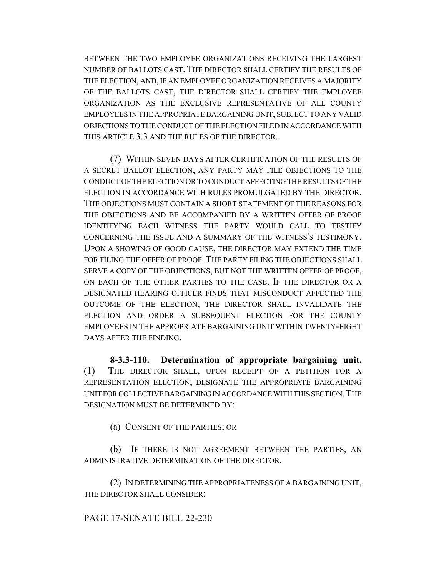BETWEEN THE TWO EMPLOYEE ORGANIZATIONS RECEIVING THE LARGEST NUMBER OF BALLOTS CAST. THE DIRECTOR SHALL CERTIFY THE RESULTS OF THE ELECTION, AND, IF AN EMPLOYEE ORGANIZATION RECEIVES A MAJORITY OF THE BALLOTS CAST, THE DIRECTOR SHALL CERTIFY THE EMPLOYEE ORGANIZATION AS THE EXCLUSIVE REPRESENTATIVE OF ALL COUNTY EMPLOYEES IN THE APPROPRIATE BARGAINING UNIT, SUBJECT TO ANY VALID OBJECTIONS TO THE CONDUCT OF THE ELECTION FILED IN ACCORDANCE WITH THIS ARTICLE 3.3 AND THE RULES OF THE DIRECTOR.

(7) WITHIN SEVEN DAYS AFTER CERTIFICATION OF THE RESULTS OF A SECRET BALLOT ELECTION, ANY PARTY MAY FILE OBJECTIONS TO THE CONDUCT OF THE ELECTION OR TO CONDUCT AFFECTING THE RESULTS OF THE ELECTION IN ACCORDANCE WITH RULES PROMULGATED BY THE DIRECTOR. THE OBJECTIONS MUST CONTAIN A SHORT STATEMENT OF THE REASONS FOR THE OBJECTIONS AND BE ACCOMPANIED BY A WRITTEN OFFER OF PROOF IDENTIFYING EACH WITNESS THE PARTY WOULD CALL TO TESTIFY CONCERNING THE ISSUE AND A SUMMARY OF THE WITNESS'S TESTIMONY. UPON A SHOWING OF GOOD CAUSE, THE DIRECTOR MAY EXTEND THE TIME FOR FILING THE OFFER OF PROOF. THE PARTY FILING THE OBJECTIONS SHALL SERVE A COPY OF THE OBJECTIONS, BUT NOT THE WRITTEN OFFER OF PROOF, ON EACH OF THE OTHER PARTIES TO THE CASE. IF THE DIRECTOR OR A DESIGNATED HEARING OFFICER FINDS THAT MISCONDUCT AFFECTED THE OUTCOME OF THE ELECTION, THE DIRECTOR SHALL INVALIDATE THE ELECTION AND ORDER A SUBSEQUENT ELECTION FOR THE COUNTY EMPLOYEES IN THE APPROPRIATE BARGAINING UNIT WITHIN TWENTY-EIGHT DAYS AFTER THE FINDING.

**8-3.3-110. Determination of appropriate bargaining unit.** (1) THE DIRECTOR SHALL, UPON RECEIPT OF A PETITION FOR A REPRESENTATION ELECTION, DESIGNATE THE APPROPRIATE BARGAINING UNIT FOR COLLECTIVE BARGAINING IN ACCORDANCE WITH THIS SECTION.THE DESIGNATION MUST BE DETERMINED BY:

(a) CONSENT OF THE PARTIES; OR

(b) IF THERE IS NOT AGREEMENT BETWEEN THE PARTIES, AN ADMINISTRATIVE DETERMINATION OF THE DIRECTOR.

(2) IN DETERMINING THE APPROPRIATENESS OF A BARGAINING UNIT, THE DIRECTOR SHALL CONSIDER:

# PAGE 17-SENATE BILL 22-230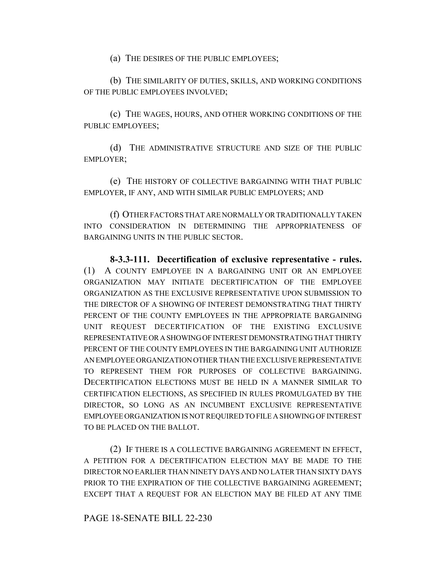(a) THE DESIRES OF THE PUBLIC EMPLOYEES;

(b) THE SIMILARITY OF DUTIES, SKILLS, AND WORKING CONDITIONS OF THE PUBLIC EMPLOYEES INVOLVED;

(c) THE WAGES, HOURS, AND OTHER WORKING CONDITIONS OF THE PUBLIC EMPLOYEES;

(d) THE ADMINISTRATIVE STRUCTURE AND SIZE OF THE PUBLIC EMPLOYER;

(e) THE HISTORY OF COLLECTIVE BARGAINING WITH THAT PUBLIC EMPLOYER, IF ANY, AND WITH SIMILAR PUBLIC EMPLOYERS; AND

(f) OTHER FACTORS THAT ARE NORMALLY OR TRADITIONALLY TAKEN INTO CONSIDERATION IN DETERMINING THE APPROPRIATENESS OF BARGAINING UNITS IN THE PUBLIC SECTOR.

**8-3.3-111. Decertification of exclusive representative - rules.** (1) A COUNTY EMPLOYEE IN A BARGAINING UNIT OR AN EMPLOYEE ORGANIZATION MAY INITIATE DECERTIFICATION OF THE EMPLOYEE ORGANIZATION AS THE EXCLUSIVE REPRESENTATIVE UPON SUBMISSION TO THE DIRECTOR OF A SHOWING OF INTEREST DEMONSTRATING THAT THIRTY PERCENT OF THE COUNTY EMPLOYEES IN THE APPROPRIATE BARGAINING UNIT REQUEST DECERTIFICATION OF THE EXISTING EXCLUSIVE REPRESENTATIVE OR A SHOWING OF INTEREST DEMONSTRATING THAT THIRTY PERCENT OF THE COUNTY EMPLOYEES IN THE BARGAINING UNIT AUTHORIZE AN EMPLOYEE ORGANIZATION OTHER THAN THE EXCLUSIVE REPRESENTATIVE TO REPRESENT THEM FOR PURPOSES OF COLLECTIVE BARGAINING. DECERTIFICATION ELECTIONS MUST BE HELD IN A MANNER SIMILAR TO CERTIFICATION ELECTIONS, AS SPECIFIED IN RULES PROMULGATED BY THE DIRECTOR, SO LONG AS AN INCUMBENT EXCLUSIVE REPRESENTATIVE EMPLOYEE ORGANIZATION IS NOT REQUIRED TO FILE A SHOWING OF INTEREST TO BE PLACED ON THE BALLOT.

(2) IF THERE IS A COLLECTIVE BARGAINING AGREEMENT IN EFFECT, A PETITION FOR A DECERTIFICATION ELECTION MAY BE MADE TO THE DIRECTOR NO EARLIER THAN NINETY DAYS AND NO LATER THAN SIXTY DAYS PRIOR TO THE EXPIRATION OF THE COLLECTIVE BARGAINING AGREEMENT; EXCEPT THAT A REQUEST FOR AN ELECTION MAY BE FILED AT ANY TIME

### PAGE 18-SENATE BILL 22-230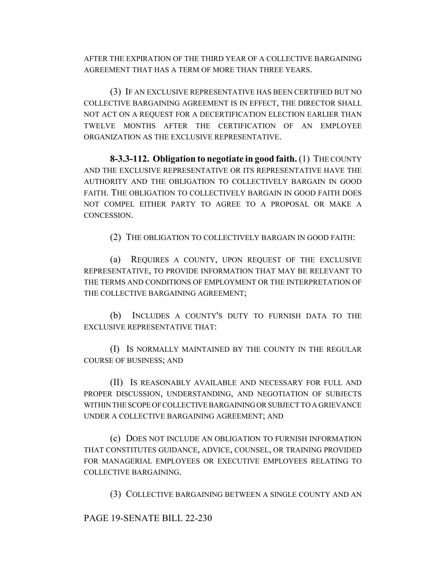AFTER THE EXPIRATION OF THE THIRD YEAR OF A COLLECTIVE BARGAINING AGREEMENT THAT HAS A TERM OF MORE THAN THREE YEARS.

(3) IF AN EXCLUSIVE REPRESENTATIVE HAS BEEN CERTIFIED BUT NO COLLECTIVE BARGAINING AGREEMENT IS IN EFFECT, THE DIRECTOR SHALL NOT ACT ON A REQUEST FOR A DECERTIFICATION ELECTION EARLIER THAN TWELVE MONTHS AFTER THE CERTIFICATION OF AN EMPLOYEE ORGANIZATION AS THE EXCLUSIVE REPRESENTATIVE.

**8-3.3-112. Obligation to negotiate in good faith.** (1) THE COUNTY AND THE EXCLUSIVE REPRESENTATIVE OR ITS REPRESENTATIVE HAVE THE AUTHORITY AND THE OBLIGATION TO COLLECTIVELY BARGAIN IN GOOD FAITH. THE OBLIGATION TO COLLECTIVELY BARGAIN IN GOOD FAITH DOES NOT COMPEL EITHER PARTY TO AGREE TO A PROPOSAL OR MAKE A CONCESSION.

(2) THE OBLIGATION TO COLLECTIVELY BARGAIN IN GOOD FAITH:

(a) REQUIRES A COUNTY, UPON REQUEST OF THE EXCLUSIVE REPRESENTATIVE, TO PROVIDE INFORMATION THAT MAY BE RELEVANT TO THE TERMS AND CONDITIONS OF EMPLOYMENT OR THE INTERPRETATION OF THE COLLECTIVE BARGAINING AGREEMENT;

(b) INCLUDES A COUNTY'S DUTY TO FURNISH DATA TO THE EXCLUSIVE REPRESENTATIVE THAT:

(I) IS NORMALLY MAINTAINED BY THE COUNTY IN THE REGULAR COURSE OF BUSINESS; AND

(II) IS REASONABLY AVAILABLE AND NECESSARY FOR FULL AND PROPER DISCUSSION, UNDERSTANDING, AND NEGOTIATION OF SUBJECTS WITHIN THE SCOPE OF COLLECTIVE BARGAINING OR SUBJECT TO A GRIEVANCE UNDER A COLLECTIVE BARGAINING AGREEMENT; AND

(c) DOES NOT INCLUDE AN OBLIGATION TO FURNISH INFORMATION THAT CONSTITUTES GUIDANCE, ADVICE, COUNSEL, OR TRAINING PROVIDED FOR MANAGERIAL EMPLOYEES OR EXECUTIVE EMPLOYEES RELATING TO COLLECTIVE BARGAINING.

(3) COLLECTIVE BARGAINING BETWEEN A SINGLE COUNTY AND AN

PAGE 19-SENATE BILL 22-230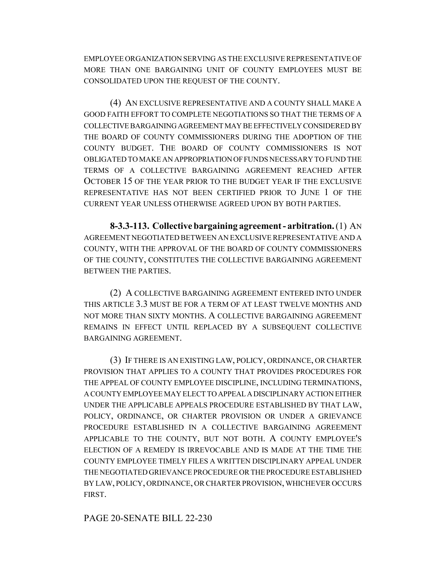EMPLOYEE ORGANIZATION SERVING AS THE EXCLUSIVE REPRESENTATIVE OF MORE THAN ONE BARGAINING UNIT OF COUNTY EMPLOYEES MUST BE CONSOLIDATED UPON THE REQUEST OF THE COUNTY.

(4) AN EXCLUSIVE REPRESENTATIVE AND A COUNTY SHALL MAKE A GOOD FAITH EFFORT TO COMPLETE NEGOTIATIONS SO THAT THE TERMS OF A COLLECTIVE BARGAINING AGREEMENT MAY BE EFFECTIVELY CONSIDERED BY THE BOARD OF COUNTY COMMISSIONERS DURING THE ADOPTION OF THE COUNTY BUDGET. THE BOARD OF COUNTY COMMISSIONERS IS NOT OBLIGATED TO MAKE AN APPROPRIATION OF FUNDS NECESSARY TO FUND THE TERMS OF A COLLECTIVE BARGAINING AGREEMENT REACHED AFTER OCTOBER 15 OF THE YEAR PRIOR TO THE BUDGET YEAR IF THE EXCLUSIVE REPRESENTATIVE HAS NOT BEEN CERTIFIED PRIOR TO JUNE 1 OF THE CURRENT YEAR UNLESS OTHERWISE AGREED UPON BY BOTH PARTIES.

**8-3.3-113. Collective bargaining agreement - arbitration.** (1) AN AGREEMENT NEGOTIATED BETWEEN AN EXCLUSIVE REPRESENTATIVE AND A COUNTY, WITH THE APPROVAL OF THE BOARD OF COUNTY COMMISSIONERS OF THE COUNTY, CONSTITUTES THE COLLECTIVE BARGAINING AGREEMENT BETWEEN THE PARTIES.

(2) A COLLECTIVE BARGAINING AGREEMENT ENTERED INTO UNDER THIS ARTICLE 3.3 MUST BE FOR A TERM OF AT LEAST TWELVE MONTHS AND NOT MORE THAN SIXTY MONTHS. A COLLECTIVE BARGAINING AGREEMENT REMAINS IN EFFECT UNTIL REPLACED BY A SUBSEQUENT COLLECTIVE BARGAINING AGREEMENT.

(3) IF THERE IS AN EXISTING LAW, POLICY, ORDINANCE, OR CHARTER PROVISION THAT APPLIES TO A COUNTY THAT PROVIDES PROCEDURES FOR THE APPEAL OF COUNTY EMPLOYEE DISCIPLINE, INCLUDING TERMINATIONS, A COUNTY EMPLOYEE MAY ELECT TO APPEAL A DISCIPLINARY ACTION EITHER UNDER THE APPLICABLE APPEALS PROCEDURE ESTABLISHED BY THAT LAW, POLICY, ORDINANCE, OR CHARTER PROVISION OR UNDER A GRIEVANCE PROCEDURE ESTABLISHED IN A COLLECTIVE BARGAINING AGREEMENT APPLICABLE TO THE COUNTY, BUT NOT BOTH. A COUNTY EMPLOYEE'S ELECTION OF A REMEDY IS IRREVOCABLE AND IS MADE AT THE TIME THE COUNTY EMPLOYEE TIMELY FILES A WRITTEN DISCIPLINARY APPEAL UNDER THE NEGOTIATED GRIEVANCE PROCEDURE OR THE PROCEDURE ESTABLISHED BY LAW, POLICY, ORDINANCE, OR CHARTER PROVISION, WHICHEVER OCCURS FIRST.

PAGE 20-SENATE BILL 22-230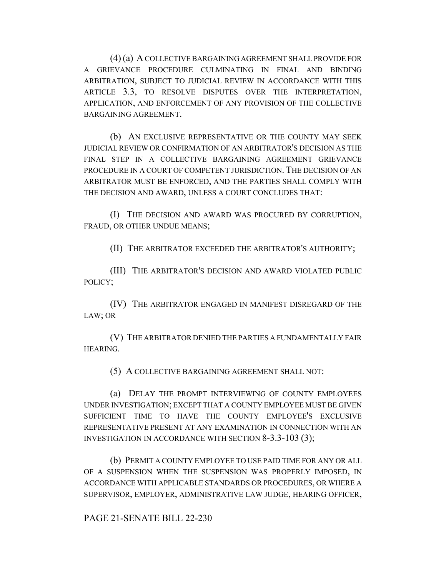(4) (a) A COLLECTIVE BARGAINING AGREEMENT SHALL PROVIDE FOR A GRIEVANCE PROCEDURE CULMINATING IN FINAL AND BINDING ARBITRATION, SUBJECT TO JUDICIAL REVIEW IN ACCORDANCE WITH THIS ARTICLE 3.3, TO RESOLVE DISPUTES OVER THE INTERPRETATION, APPLICATION, AND ENFORCEMENT OF ANY PROVISION OF THE COLLECTIVE BARGAINING AGREEMENT.

(b) AN EXCLUSIVE REPRESENTATIVE OR THE COUNTY MAY SEEK JUDICIAL REVIEW OR CONFIRMATION OF AN ARBITRATOR'S DECISION AS THE FINAL STEP IN A COLLECTIVE BARGAINING AGREEMENT GRIEVANCE PROCEDURE IN A COURT OF COMPETENT JURISDICTION. THE DECISION OF AN ARBITRATOR MUST BE ENFORCED, AND THE PARTIES SHALL COMPLY WITH THE DECISION AND AWARD, UNLESS A COURT CONCLUDES THAT:

(I) THE DECISION AND AWARD WAS PROCURED BY CORRUPTION, FRAUD, OR OTHER UNDUE MEANS;

(II) THE ARBITRATOR EXCEEDED THE ARBITRATOR'S AUTHORITY;

(III) THE ARBITRATOR'S DECISION AND AWARD VIOLATED PUBLIC POLICY;

(IV) THE ARBITRATOR ENGAGED IN MANIFEST DISREGARD OF THE LAW; OR

(V) THE ARBITRATOR DENIED THE PARTIES A FUNDAMENTALLY FAIR HEARING.

(5) A COLLECTIVE BARGAINING AGREEMENT SHALL NOT:

(a) DELAY THE PROMPT INTERVIEWING OF COUNTY EMPLOYEES UNDER INVESTIGATION; EXCEPT THAT A COUNTY EMPLOYEE MUST BE GIVEN SUFFICIENT TIME TO HAVE THE COUNTY EMPLOYEE'S EXCLUSIVE REPRESENTATIVE PRESENT AT ANY EXAMINATION IN CONNECTION WITH AN INVESTIGATION IN ACCORDANCE WITH SECTION 8-3.3-103 (3);

(b) PERMIT A COUNTY EMPLOYEE TO USE PAID TIME FOR ANY OR ALL OF A SUSPENSION WHEN THE SUSPENSION WAS PROPERLY IMPOSED, IN ACCORDANCE WITH APPLICABLE STANDARDS OR PROCEDURES, OR WHERE A SUPERVISOR, EMPLOYER, ADMINISTRATIVE LAW JUDGE, HEARING OFFICER,

PAGE 21-SENATE BILL 22-230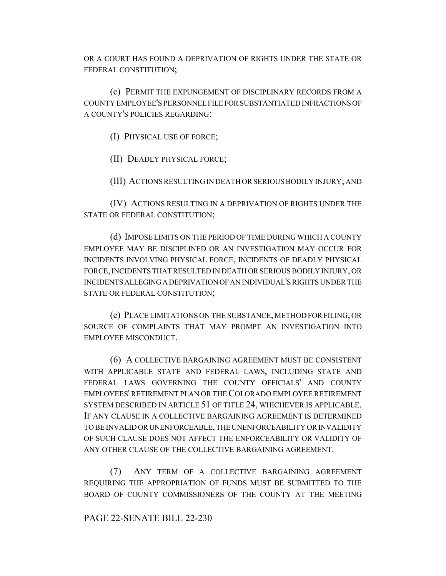OR A COURT HAS FOUND A DEPRIVATION OF RIGHTS UNDER THE STATE OR FEDERAL CONSTITUTION;

(c) PERMIT THE EXPUNGEMENT OF DISCIPLINARY RECORDS FROM A COUNTY EMPLOYEE'S PERSONNEL FILE FOR SUBSTANTIATED INFRACTIONS OF A COUNTY'S POLICIES REGARDING:

(I) PHYSICAL USE OF FORCE;

(II) DEADLY PHYSICAL FORCE;

(III) ACTIONS RESULTING IN DEATH OR SERIOUS BODILY INJURY; AND

(IV) ACTIONS RESULTING IN A DEPRIVATION OF RIGHTS UNDER THE STATE OR FEDERAL CONSTITUTION;

(d) IMPOSE LIMITS ON THE PERIOD OF TIME DURING WHICH A COUNTY EMPLOYEE MAY BE DISCIPLINED OR AN INVESTIGATION MAY OCCUR FOR INCIDENTS INVOLVING PHYSICAL FORCE, INCIDENTS OF DEADLY PHYSICAL FORCE, INCIDENTS THAT RESULTED IN DEATH OR SERIOUS BODILY INJURY, OR INCIDENTS ALLEGING A DEPRIVATION OF AN INDIVIDUAL'S RIGHTS UNDER THE STATE OR FEDERAL CONSTITUTION;

(e) PLACE LIMITATIONS ON THE SUBSTANCE, METHOD FOR FILING, OR SOURCE OF COMPLAINTS THAT MAY PROMPT AN INVESTIGATION INTO EMPLOYEE MISCONDUCT.

(6) A COLLECTIVE BARGAINING AGREEMENT MUST BE CONSISTENT WITH APPLICABLE STATE AND FEDERAL LAWS, INCLUDING STATE AND FEDERAL LAWS GOVERNING THE COUNTY OFFICIALS' AND COUNTY EMPLOYEES' RETIREMENT PLAN OR THE COLORADO EMPLOYEE RETIREMENT SYSTEM DESCRIBED IN ARTICLE 51 OF TITLE 24, WHICHEVER IS APPLICABLE. IF ANY CLAUSE IN A COLLECTIVE BARGAINING AGREEMENT IS DETERMINED TO BE INVALID OR UNENFORCEABLE, THE UNENFORCEABILITY OR INVALIDITY OF SUCH CLAUSE DOES NOT AFFECT THE ENFORCEABILITY OR VALIDITY OF ANY OTHER CLAUSE OF THE COLLECTIVE BARGAINING AGREEMENT.

(7) ANY TERM OF A COLLECTIVE BARGAINING AGREEMENT REQUIRING THE APPROPRIATION OF FUNDS MUST BE SUBMITTED TO THE BOARD OF COUNTY COMMISSIONERS OF THE COUNTY AT THE MEETING

### PAGE 22-SENATE BILL 22-230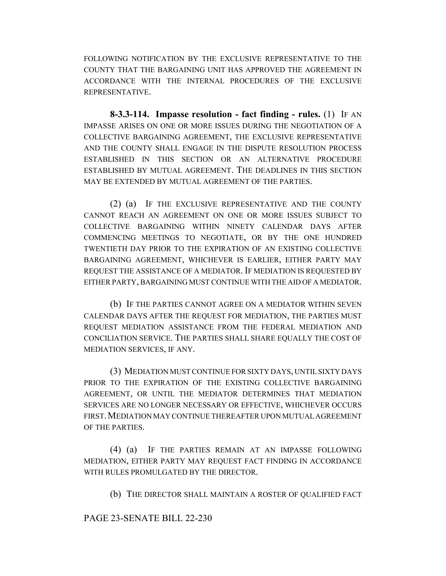FOLLOWING NOTIFICATION BY THE EXCLUSIVE REPRESENTATIVE TO THE COUNTY THAT THE BARGAINING UNIT HAS APPROVED THE AGREEMENT IN ACCORDANCE WITH THE INTERNAL PROCEDURES OF THE EXCLUSIVE REPRESENTATIVE.

**8-3.3-114. Impasse resolution - fact finding - rules.** (1) IF AN IMPASSE ARISES ON ONE OR MORE ISSUES DURING THE NEGOTIATION OF A COLLECTIVE BARGAINING AGREEMENT, THE EXCLUSIVE REPRESENTATIVE AND THE COUNTY SHALL ENGAGE IN THE DISPUTE RESOLUTION PROCESS ESTABLISHED IN THIS SECTION OR AN ALTERNATIVE PROCEDURE ESTABLISHED BY MUTUAL AGREEMENT. THE DEADLINES IN THIS SECTION MAY BE EXTENDED BY MUTUAL AGREEMENT OF THE PARTIES.

(2) (a) IF THE EXCLUSIVE REPRESENTATIVE AND THE COUNTY CANNOT REACH AN AGREEMENT ON ONE OR MORE ISSUES SUBJECT TO COLLECTIVE BARGAINING WITHIN NINETY CALENDAR DAYS AFTER COMMENCING MEETINGS TO NEGOTIATE, OR BY THE ONE HUNDRED TWENTIETH DAY PRIOR TO THE EXPIRATION OF AN EXISTING COLLECTIVE BARGAINING AGREEMENT, WHICHEVER IS EARLIER, EITHER PARTY MAY REQUEST THE ASSISTANCE OF A MEDIATOR. IF MEDIATION IS REQUESTED BY EITHER PARTY, BARGAINING MUST CONTINUE WITH THE AID OF A MEDIATOR.

(b) IF THE PARTIES CANNOT AGREE ON A MEDIATOR WITHIN SEVEN CALENDAR DAYS AFTER THE REQUEST FOR MEDIATION, THE PARTIES MUST REQUEST MEDIATION ASSISTANCE FROM THE FEDERAL MEDIATION AND CONCILIATION SERVICE. THE PARTIES SHALL SHARE EQUALLY THE COST OF MEDIATION SERVICES, IF ANY.

(3) MEDIATION MUST CONTINUE FOR SIXTY DAYS, UNTIL SIXTY DAYS PRIOR TO THE EXPIRATION OF THE EXISTING COLLECTIVE BARGAINING AGREEMENT, OR UNTIL THE MEDIATOR DETERMINES THAT MEDIATION SERVICES ARE NO LONGER NECESSARY OR EFFECTIVE, WHICHEVER OCCURS FIRST.MEDIATION MAY CONTINUE THEREAFTER UPON MUTUAL AGREEMENT OF THE PARTIES.

(4) (a) IF THE PARTIES REMAIN AT AN IMPASSE FOLLOWING MEDIATION, EITHER PARTY MAY REQUEST FACT FINDING IN ACCORDANCE WITH RULES PROMULGATED BY THE DIRECTOR.

(b) THE DIRECTOR SHALL MAINTAIN A ROSTER OF QUALIFIED FACT

PAGE 23-SENATE BILL 22-230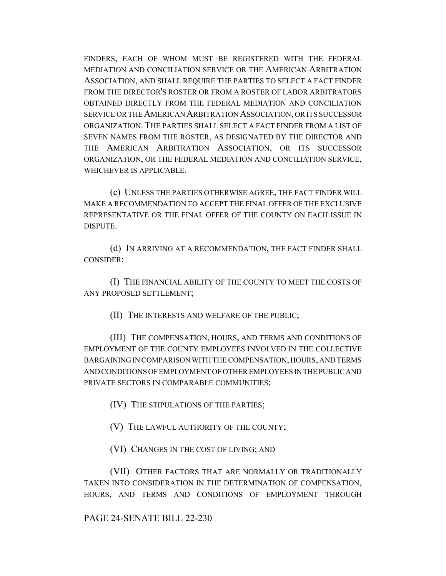FINDERS, EACH OF WHOM MUST BE REGISTERED WITH THE FEDERAL MEDIATION AND CONCILIATION SERVICE OR THE AMERICAN ARBITRATION ASSOCIATION, AND SHALL REQUIRE THE PARTIES TO SELECT A FACT FINDER FROM THE DIRECTOR'S ROSTER OR FROM A ROSTER OF LABOR ARBITRATORS OBTAINED DIRECTLY FROM THE FEDERAL MEDIATION AND CONCILIATION SERVICE OR THE AMERICAN ARBITRATION ASSOCIATION, OR ITS SUCCESSOR ORGANIZATION. THE PARTIES SHALL SELECT A FACT FINDER FROM A LIST OF SEVEN NAMES FROM THE ROSTER, AS DESIGNATED BY THE DIRECTOR AND THE AMERICAN ARBITRATION ASSOCIATION, OR ITS SUCCESSOR ORGANIZATION, OR THE FEDERAL MEDIATION AND CONCILIATION SERVICE, WHICHEVER IS APPLICABLE.

(c) UNLESS THE PARTIES OTHERWISE AGREE, THE FACT FINDER WILL MAKE A RECOMMENDATION TO ACCEPT THE FINAL OFFER OF THE EXCLUSIVE REPRESENTATIVE OR THE FINAL OFFER OF THE COUNTY ON EACH ISSUE IN DISPUTE.

(d) IN ARRIVING AT A RECOMMENDATION, THE FACT FINDER SHALL CONSIDER:

(I) THE FINANCIAL ABILITY OF THE COUNTY TO MEET THE COSTS OF ANY PROPOSED SETTLEMENT;

(II) THE INTERESTS AND WELFARE OF THE PUBLIC;

(III) THE COMPENSATION, HOURS, AND TERMS AND CONDITIONS OF EMPLOYMENT OF THE COUNTY EMPLOYEES INVOLVED IN THE COLLECTIVE BARGAINING IN COMPARISON WITH THE COMPENSATION, HOURS, AND TERMS AND CONDITIONS OF EMPLOYMENT OF OTHER EMPLOYEES IN THE PUBLIC AND PRIVATE SECTORS IN COMPARABLE COMMUNITIES;

(IV) THE STIPULATIONS OF THE PARTIES;

(V) THE LAWFUL AUTHORITY OF THE COUNTY;

(VI) CHANGES IN THE COST OF LIVING; AND

(VII) OTHER FACTORS THAT ARE NORMALLY OR TRADITIONALLY TAKEN INTO CONSIDERATION IN THE DETERMINATION OF COMPENSATION, HOURS, AND TERMS AND CONDITIONS OF EMPLOYMENT THROUGH

PAGE 24-SENATE BILL 22-230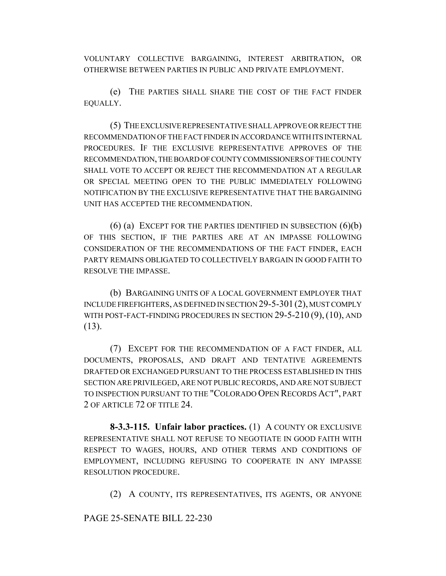VOLUNTARY COLLECTIVE BARGAINING, INTEREST ARBITRATION, OR OTHERWISE BETWEEN PARTIES IN PUBLIC AND PRIVATE EMPLOYMENT.

(e) THE PARTIES SHALL SHARE THE COST OF THE FACT FINDER EQUALLY.

(5) THE EXCLUSIVE REPRESENTATIVE SHALL APPROVE OR REJECT THE RECOMMENDATION OF THE FACT FINDER IN ACCORDANCE WITH ITS INTERNAL PROCEDURES. IF THE EXCLUSIVE REPRESENTATIVE APPROVES OF THE RECOMMENDATION, THE BOARD OF COUNTY COMMISSIONERS OF THE COUNTY SHALL VOTE TO ACCEPT OR REJECT THE RECOMMENDATION AT A REGULAR OR SPECIAL MEETING OPEN TO THE PUBLIC IMMEDIATELY FOLLOWING NOTIFICATION BY THE EXCLUSIVE REPRESENTATIVE THAT THE BARGAINING UNIT HAS ACCEPTED THE RECOMMENDATION.

 $(6)$  (a) EXCEPT FOR THE PARTIES IDENTIFIED IN SUBSECTION  $(6)(b)$ OF THIS SECTION, IF THE PARTIES ARE AT AN IMPASSE FOLLOWING CONSIDERATION OF THE RECOMMENDATIONS OF THE FACT FINDER, EACH PARTY REMAINS OBLIGATED TO COLLECTIVELY BARGAIN IN GOOD FAITH TO RESOLVE THE IMPASSE.

(b) BARGAINING UNITS OF A LOCAL GOVERNMENT EMPLOYER THAT INCLUDE FIREFIGHTERS, AS DEFINED IN SECTION 29-5-301(2), MUST COMPLY WITH POST-FACT-FINDING PROCEDURES IN SECTION 29-5-210 (9), (10), AND (13).

(7) EXCEPT FOR THE RECOMMENDATION OF A FACT FINDER, ALL DOCUMENTS, PROPOSALS, AND DRAFT AND TENTATIVE AGREEMENTS DRAFTED OR EXCHANGED PURSUANT TO THE PROCESS ESTABLISHED IN THIS SECTION ARE PRIVILEGED, ARE NOT PUBLIC RECORDS, AND ARE NOT SUBJECT TO INSPECTION PURSUANT TO THE "COLORADO OPEN RECORDS ACT", PART 2 OF ARTICLE 72 OF TITLE 24.

**8-3.3-115. Unfair labor practices.** (1) A COUNTY OR EXCLUSIVE REPRESENTATIVE SHALL NOT REFUSE TO NEGOTIATE IN GOOD FAITH WITH RESPECT TO WAGES, HOURS, AND OTHER TERMS AND CONDITIONS OF EMPLOYMENT, INCLUDING REFUSING TO COOPERATE IN ANY IMPASSE RESOLUTION PROCEDURE.

(2) A COUNTY, ITS REPRESENTATIVES, ITS AGENTS, OR ANYONE

PAGE 25-SENATE BILL 22-230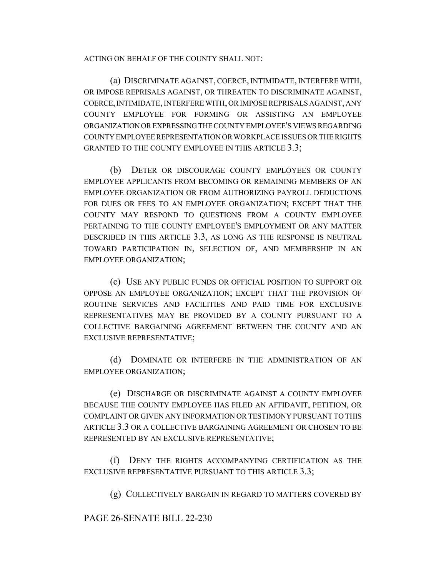ACTING ON BEHALF OF THE COUNTY SHALL NOT:

(a) DISCRIMINATE AGAINST, COERCE, INTIMIDATE, INTERFERE WITH, OR IMPOSE REPRISALS AGAINST, OR THREATEN TO DISCRIMINATE AGAINST, COERCE, INTIMIDATE, INTERFERE WITH, OR IMPOSE REPRISALS AGAINST, ANY COUNTY EMPLOYEE FOR FORMING OR ASSISTING AN EMPLOYEE ORGANIZATION OR EXPRESSING THE COUNTY EMPLOYEE'S VIEWS REGARDING COUNTY EMPLOYEE REPRESENTATION OR WORKPLACE ISSUES OR THE RIGHTS GRANTED TO THE COUNTY EMPLOYEE IN THIS ARTICLE 3.3;

(b) DETER OR DISCOURAGE COUNTY EMPLOYEES OR COUNTY EMPLOYEE APPLICANTS FROM BECOMING OR REMAINING MEMBERS OF AN EMPLOYEE ORGANIZATION OR FROM AUTHORIZING PAYROLL DEDUCTIONS FOR DUES OR FEES TO AN EMPLOYEE ORGANIZATION; EXCEPT THAT THE COUNTY MAY RESPOND TO QUESTIONS FROM A COUNTY EMPLOYEE PERTAINING TO THE COUNTY EMPLOYEE'S EMPLOYMENT OR ANY MATTER DESCRIBED IN THIS ARTICLE 3.3, AS LONG AS THE RESPONSE IS NEUTRAL TOWARD PARTICIPATION IN, SELECTION OF, AND MEMBERSHIP IN AN EMPLOYEE ORGANIZATION;

(c) USE ANY PUBLIC FUNDS OR OFFICIAL POSITION TO SUPPORT OR OPPOSE AN EMPLOYEE ORGANIZATION; EXCEPT THAT THE PROVISION OF ROUTINE SERVICES AND FACILITIES AND PAID TIME FOR EXCLUSIVE REPRESENTATIVES MAY BE PROVIDED BY A COUNTY PURSUANT TO A COLLECTIVE BARGAINING AGREEMENT BETWEEN THE COUNTY AND AN EXCLUSIVE REPRESENTATIVE;

(d) DOMINATE OR INTERFERE IN THE ADMINISTRATION OF AN EMPLOYEE ORGANIZATION;

(e) DISCHARGE OR DISCRIMINATE AGAINST A COUNTY EMPLOYEE BECAUSE THE COUNTY EMPLOYEE HAS FILED AN AFFIDAVIT, PETITION, OR COMPLAINT OR GIVEN ANY INFORMATION OR TESTIMONY PURSUANT TO THIS ARTICLE 3.3 OR A COLLECTIVE BARGAINING AGREEMENT OR CHOSEN TO BE REPRESENTED BY AN EXCLUSIVE REPRESENTATIVE;

(f) DENY THE RIGHTS ACCOMPANYING CERTIFICATION AS THE EXCLUSIVE REPRESENTATIVE PURSUANT TO THIS ARTICLE 3.3;

(g) COLLECTIVELY BARGAIN IN REGARD TO MATTERS COVERED BY

PAGE 26-SENATE BILL 22-230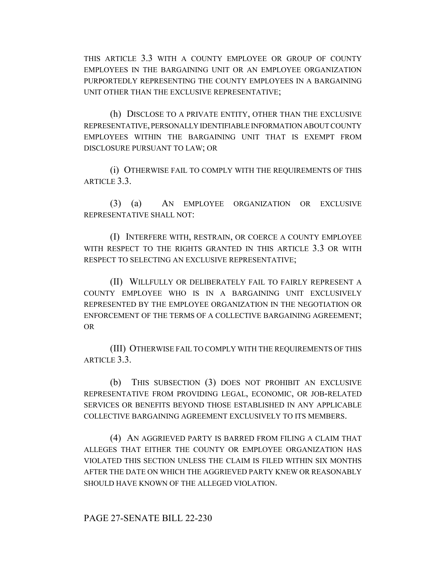THIS ARTICLE 3.3 WITH A COUNTY EMPLOYEE OR GROUP OF COUNTY EMPLOYEES IN THE BARGAINING UNIT OR AN EMPLOYEE ORGANIZATION PURPORTEDLY REPRESENTING THE COUNTY EMPLOYEES IN A BARGAINING UNIT OTHER THAN THE EXCLUSIVE REPRESENTATIVE;

(h) DISCLOSE TO A PRIVATE ENTITY, OTHER THAN THE EXCLUSIVE REPRESENTATIVE, PERSONALLY IDENTIFIABLE INFORMATION ABOUT COUNTY EMPLOYEES WITHIN THE BARGAINING UNIT THAT IS EXEMPT FROM DISCLOSURE PURSUANT TO LAW; OR

(i) OTHERWISE FAIL TO COMPLY WITH THE REQUIREMENTS OF THIS ARTICLE 3.3.

(3) (a) AN EMPLOYEE ORGANIZATION OR EXCLUSIVE REPRESENTATIVE SHALL NOT:

(I) INTERFERE WITH, RESTRAIN, OR COERCE A COUNTY EMPLOYEE WITH RESPECT TO THE RIGHTS GRANTED IN THIS ARTICLE 3.3 OR WITH RESPECT TO SELECTING AN EXCLUSIVE REPRESENTATIVE;

(II) WILLFULLY OR DELIBERATELY FAIL TO FAIRLY REPRESENT A COUNTY EMPLOYEE WHO IS IN A BARGAINING UNIT EXCLUSIVELY REPRESENTED BY THE EMPLOYEE ORGANIZATION IN THE NEGOTIATION OR ENFORCEMENT OF THE TERMS OF A COLLECTIVE BARGAINING AGREEMENT; OR

(III) OTHERWISE FAIL TO COMPLY WITH THE REQUIREMENTS OF THIS ARTICLE 3.3.

(b) THIS SUBSECTION (3) DOES NOT PROHIBIT AN EXCLUSIVE REPRESENTATIVE FROM PROVIDING LEGAL, ECONOMIC, OR JOB-RELATED SERVICES OR BENEFITS BEYOND THOSE ESTABLISHED IN ANY APPLICABLE COLLECTIVE BARGAINING AGREEMENT EXCLUSIVELY TO ITS MEMBERS.

(4) AN AGGRIEVED PARTY IS BARRED FROM FILING A CLAIM THAT ALLEGES THAT EITHER THE COUNTY OR EMPLOYEE ORGANIZATION HAS VIOLATED THIS SECTION UNLESS THE CLAIM IS FILED WITHIN SIX MONTHS AFTER THE DATE ON WHICH THE AGGRIEVED PARTY KNEW OR REASONABLY SHOULD HAVE KNOWN OF THE ALLEGED VIOLATION.

PAGE 27-SENATE BILL 22-230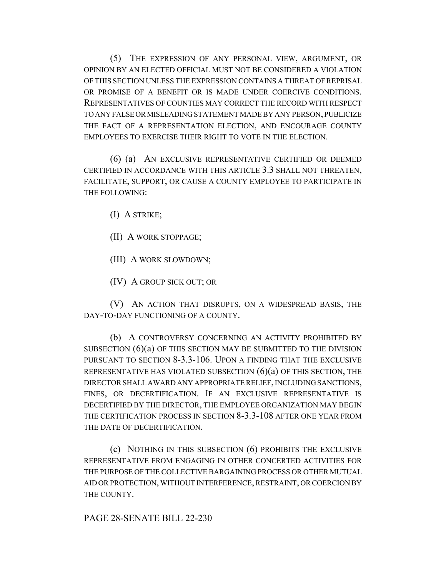(5) THE EXPRESSION OF ANY PERSONAL VIEW, ARGUMENT, OR OPINION BY AN ELECTED OFFICIAL MUST NOT BE CONSIDERED A VIOLATION OF THIS SECTION UNLESS THE EXPRESSION CONTAINS A THREAT OF REPRISAL OR PROMISE OF A BENEFIT OR IS MADE UNDER COERCIVE CONDITIONS. REPRESENTATIVES OF COUNTIES MAY CORRECT THE RECORD WITH RESPECT TO ANY FALSE OR MISLEADING STATEMENT MADE BY ANY PERSON, PUBLICIZE THE FACT OF A REPRESENTATION ELECTION, AND ENCOURAGE COUNTY EMPLOYEES TO EXERCISE THEIR RIGHT TO VOTE IN THE ELECTION.

(6) (a) AN EXCLUSIVE REPRESENTATIVE CERTIFIED OR DEEMED CERTIFIED IN ACCORDANCE WITH THIS ARTICLE 3.3 SHALL NOT THREATEN, FACILITATE, SUPPORT, OR CAUSE A COUNTY EMPLOYEE TO PARTICIPATE IN THE FOLLOWING:

(I) A STRIKE;

(II) A WORK STOPPAGE;

(III) A WORK SLOWDOWN;

(IV) A GROUP SICK OUT; OR

(V) AN ACTION THAT DISRUPTS, ON A WIDESPREAD BASIS, THE DAY-TO-DAY FUNCTIONING OF A COUNTY.

(b) A CONTROVERSY CONCERNING AN ACTIVITY PROHIBITED BY SUBSECTION  $(6)(a)$  OF THIS SECTION MAY BE SUBMITTED TO THE DIVISION PURSUANT TO SECTION 8-3.3-106. UPON A FINDING THAT THE EXCLUSIVE REPRESENTATIVE HAS VIOLATED SUBSECTION  $(6)(a)$  OF THIS SECTION, THE DIRECTOR SHALL AWARD ANY APPROPRIATE RELIEF, INCLUDING SANCTIONS, FINES, OR DECERTIFICATION. IF AN EXCLUSIVE REPRESENTATIVE IS DECERTIFIED BY THE DIRECTOR, THE EMPLOYEE ORGANIZATION MAY BEGIN THE CERTIFICATION PROCESS IN SECTION 8-3.3-108 AFTER ONE YEAR FROM THE DATE OF DECERTIFICATION.

(c) NOTHING IN THIS SUBSECTION (6) PROHIBITS THE EXCLUSIVE REPRESENTATIVE FROM ENGAGING IN OTHER CONCERTED ACTIVITIES FOR THE PURPOSE OF THE COLLECTIVE BARGAINING PROCESS OR OTHER MUTUAL AID OR PROTECTION, WITHOUT INTERFERENCE, RESTRAINT, OR COERCION BY THE COUNTY.

PAGE 28-SENATE BILL 22-230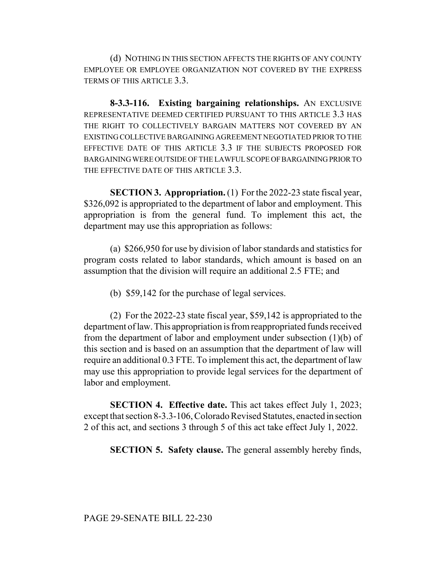(d) NOTHING IN THIS SECTION AFFECTS THE RIGHTS OF ANY COUNTY EMPLOYEE OR EMPLOYEE ORGANIZATION NOT COVERED BY THE EXPRESS TERMS OF THIS ARTICLE 3.3.

**8-3.3-116. Existing bargaining relationships.** AN EXCLUSIVE REPRESENTATIVE DEEMED CERTIFIED PURSUANT TO THIS ARTICLE 3.3 HAS THE RIGHT TO COLLECTIVELY BARGAIN MATTERS NOT COVERED BY AN EXISTING COLLECTIVE BARGAINING AGREEMENT NEGOTIATED PRIOR TO THE EFFECTIVE DATE OF THIS ARTICLE 3.3 IF THE SUBJECTS PROPOSED FOR BARGAINING WERE OUTSIDE OF THE LAWFUL SCOPE OF BARGAINING PRIOR TO THE EFFECTIVE DATE OF THIS ARTICLE 3.3.

**SECTION 3. Appropriation.** (1) For the 2022-23 state fiscal year, \$326,092 is appropriated to the department of labor and employment. This appropriation is from the general fund. To implement this act, the department may use this appropriation as follows:

(a) \$266,950 for use by division of labor standards and statistics for program costs related to labor standards, which amount is based on an assumption that the division will require an additional 2.5 FTE; and

(b) \$59,142 for the purchase of legal services.

(2) For the 2022-23 state fiscal year, \$59,142 is appropriated to the department of law. This appropriation is from reappropriated funds received from the department of labor and employment under subsection (1)(b) of this section and is based on an assumption that the department of law will require an additional 0.3 FTE. To implement this act, the department of law may use this appropriation to provide legal services for the department of labor and employment.

**SECTION 4. Effective date.** This act takes effect July 1, 2023; except that section 8-3.3-106, Colorado Revised Statutes, enacted in section 2 of this act, and sections 3 through 5 of this act take effect July 1, 2022.

**SECTION 5. Safety clause.** The general assembly hereby finds,